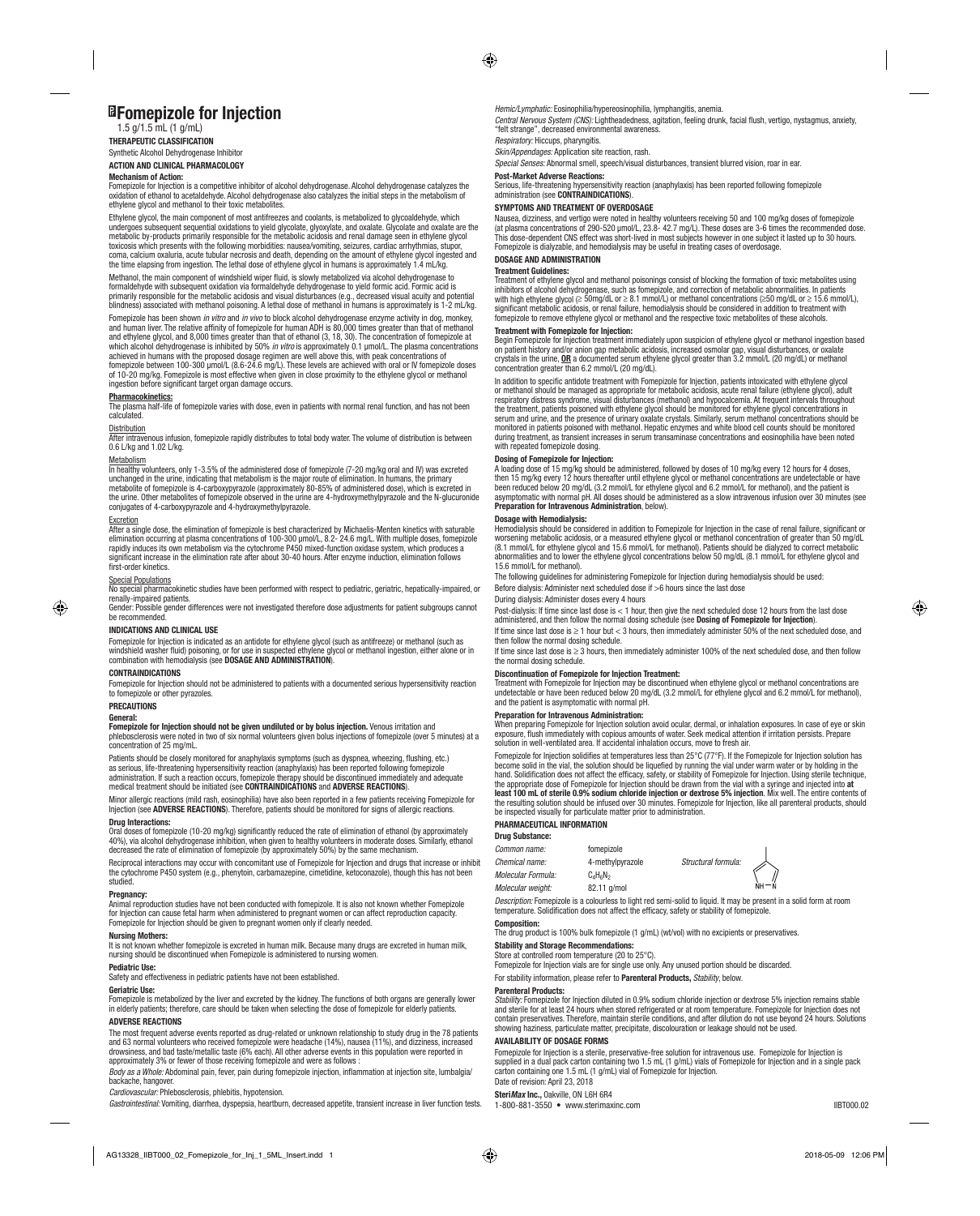# **Fomepizole for Injection**

# $1.5$  g/ $1.5$  mL (1 g/mL)

**THERAPEUTIC CLASSIFICATION** Synthetic Alcohol Dehydrogenase Inhibitor

**ACTION AND CLINICAL PHARMACOLOGY**

## **Mechanism of Action:**

Fomepizole for Injection is a competitive inhibitor of alcohol dehydrogenase. Alcohol dehydrogenase catalyzes the<br>oxidation of ethanol to acetaldehyde. Alcohol dehydrogenase also catalyzes the initial steps in the metaboli ethylene glycol and methanol to their toxic metabolites.

Ethylene glycol, the main component of most antifreezes and coolants, is metabolized to glycoaldehyde, which<br>undergoes subsequent sequential oxidations to yield glycolate, glyoxylate, and oxalate. Glycolate and oxalate are metabolic by-products primarily responsible for the metabolic acidosis and renal damage seen in ethylene glycol<br>toxicosis which presents with the following morbidities: nausea/vomiting, seizures, cardiac arrhythmias, stupo

Methanol, the main component of windshield wiper fluid, is slowly metabolized via alcohol dehydrogenase to formaldehyde with subsequent oxidation via formaldehyde dehydrogenase to yield formic acid. Formic acid is<br>primarily responsible for the metabolic acidosis and visual disturbances (e.g., decreased visual acuity and potenti blindness) associated with methanol poisoning. A lethal dose of methanol in humans is approximately is 1-2 mL/kg.

Fomepizole has been shown *in vitro* and *in vivo* to block alcohol dehydrogenase enzyme activity in dog, monkey, and human liver. The relative affinity of fomepizole for human ADH is 80,000 times greater than that of methanol<br>and ethylene glycol, and 8,000 times greater than that of ethanol (3, 18, 30). The concentration of fomepizol which alcohol dehydrogenase is inhibited by 50% *in vitro* is approximately 0.1 µmol/L. The plasma concentrations<br>achieved in humans with the proposed dosage regimen are well above this, with peak concentrations of<br>fomepiz of 10-20 mg/kg. Fomepizole is most effective when given in close proximity to the ethylene glycol or methanol ingestion before significant target organ damage occurs.

**Pharmacokinetics:**<br>The plasma half-life of fomepizole varies with dose, even in patients with normal renal function, and has not been calculated.

# **Distribution**

After intravenous infusion, fomepizole rapidly distributes to total body water. The volume of distribution is between 0.6 L/kg and 1.02 L/kg.

### Metabolism

In healthy volunteers, only 1-3.5% of the administered dose of fomepizole (7-20 mg/kg oral and IV) was excreted unchanged in the urine, indicating that metabolism is the major route of elimination. In humans, the primary metabolite of fomepizole is 4-carboxypyrazole (approximately 80-85% of administered dose), which is excreted in<br>the urine. Other metabolites of fomepizole observed in the urine are 4-hydroxymethylpyrazole and the N-glucuro conjugates of 4-carboxypyrazole and 4-hydroxymethylpyrazole.

<u>Excretion</u><br>After a single dose, the elimination of fomepizole is best characterized by Michaelis-Menten kinetics with saturable<br>elimination occurring at plasma concentrations of 100-300 µmol/L, 8.2- 24.6 mg/L. With multip significant increase in the elimination rate after about 30-40 hours. After enzyme induction, elimination follows first-order kinetics.

◈

<u>Special Populations</u><br>No special pharmacokinetic studies have been performed with respect to pediatric, geriatric, hepatically-impaired, or renally-impaired patients.

Gender: Possible gender differences were not investigated therefore dose adjustments for patient subgroups cannot be recommended.

## **INDICATIONS AND CLINICAL USE**

Fomepizole for Injection is indicated as an antidote for ethylene glycol (such as antifreeze) or methanol (such as windshield washer fluid) poisoning, or for use in suspected ethylene glycol or methanol ingestion, either alone or in combination with hemodialysis (see **DOSAGE AND ADMINISTRATION**).

## **CONTRAINDICATIONS**

Fomepizole for Injection should not be administered to patients with a documented serious hypersensitivity reaction to fomepizole or other pyrazoles.

## **PRECAUTIONS**

**General:**

## **Fomepizole for Injection should not be given undiluted or by bolus injection.** Venous irritation and

phlebosclerosis were noted in two of six normal volunteers given bolus injections of fomepizole (over 5 minutes) at a concentration of 25 mg/mL.

Patients should be closely monitored for anaphylaxis symptoms (such as dyspnea, wheezing, flushing, etc.) as serious, life-threatening hypersensitivity reaction (anaphylaxis) has been reported following fomepizole<br>administration. If such a reaction occurs, fomepizole therapy should be discontinued immediately and adequate<br>medi

## Minor allergic reactions (mild rash, eosinophilia) have also been reported in a few patients receiving Fomepizole for Injection (see **ADVERSE REACTIONS**). Therefore, patients should be monitored for signs of allergic reaction

# **Drug Interactions:**

Oral doses of fomepizole (10-20 mg/kg) significantly reduced the rate of elimination of ethanol (by approximately<br>40%), via alcohol dehydrogenase inhibition, when given to healthy volunteers in moderate doses. Similarly, e

Reciprocal interactions may occur with concomitant use of Fomepizole for Injection and drugs that increase or inhibit<br>the cytochrome P450 system (e.g., phenytoin, carbamazepine, cimetidine, ketoconazole), though this has n studied.

### **Pregnancy:**

Animal reproduction studies have not been conducted with fomepizole. It is also not known whether Fomepizole for Injection can cause fetal harm when administered to pregnant women or can affect reproduction capacity. Fomepizole for Injection should be given to pregnant women only if clearly needed.

### **Nursing Mothers:**

lt is not known whether fomepizole is excreted in human milk. Because many drugs are excreted in human milk,<br>nursing should be discontinued when Fomepizole is administered to nursing women.

**Pediatric Use:**<br>Safety and effe **::**<br>ffectiveness in pediatric patients have not been established

## **Geriatric Use:**

Fomepizole is metabolized by the liver and excreted by the kidney. The functions of both organs are generally lower in elderly patients; therefore, care should be taken when selecting the dose of fomepizole for elderly patients.

## **ADVERSE REACTIONS**

The most frequent adverse events reported as drug-related or unknown relationship to study drug in the 78 patients<br>and 63 normal volunteers who received fomepizole were headache (14%), nausea (11%), and dizziness, increase approximately 3% or fewer of those receiving fomepizole and were as follows :

*Body as a Whole:* Abdominal pain, fever, pain during fomepizole injection, inflammation at injection site, lumbalgia/ backache, hangover.

*Cardiovascular:* Phlebosclerosis, phlebitis, hypotension.

*Gastrointestinal:* Vomiting, diarrhea, dyspepsia, heartburn, decreased appetite, transient increase in liver function tests.

*Hemic/Lymphatic:* Eosinophilia/hypereosinophilia, lymphangitis, anemia.

*Central Nervous System (CNS):* Lightheadedness, agitation, feeling drunk, facial flush, vertigo, nystagmus, anxiety, "felt strange", decreased environmental awareness.

*Respiratory:* Hiccups, pharyngitis.

*Skin/Appendages:* Application site reaction, rash.

*Special Senses:* Abnormal smell, speech/visual disturbances, transient blurred vision, roar in ear.

**Post-Market Adverse Reactions:** Serious, life-threatening hypersensitivity reaction (anaphylaxis) has been reported following fomepizole administration (see **CONTRAINDICATIONS**).

## **SYMPTOMS AND TREATMENT OF OVERDOSAGE**

Nausea, dizziness, and vertigo were noted in healthy volunteers receiving 50 and 100 mg/kg doses of fomepizole (at plasma concentrations of 290-520 μmol/L, 23.8- 42.7 mg/L). These doses are 3-6 times the recommended dose. This dose-dependent CNS effect was short-lived in most subjects however in one subject it lasted up to 30 hours. Fomepizole is dialyzable, and hemodialysis may be useful in treating cases of overdosage.

## **DOSAGE AND ADMINISTRATION Treatment Guidelines:**

Treatment of ethylene glycol and methanol poisonings consist of blocking the formation of toxic metabolites using<br>inhibitors of alcohol dehydrogenase, such as fomepizole, and correction of metabolic abnormalities. In patie with high ethylene glycol (≥ 50mg/dL or ≥ 8.1 mmol/L) or methanol concentrations (≥50 mg/dL or ≥ 15.6 mmol/L),<br>significant metabolic acidosis, or renal failure, hemodialysis should be considered in addition to treatment w

**Treatment with Fomepizole for Injection:**<br>Begin Fomepizole for Injection treatment immediately upon suspicion of ethylene glycol or methanol ingestion based<br>on patient history and/or anion gap metabolic acidosis, increas

In addition to specific antidote treatment with Fomepizole for Injection, patients intoxicated with ethylene glycol or methanol should be managed as appropriate for metabolic acidosis, acute renal failure (ethylene glycol), adult respiratory distress syndrome, visual disturbances (methanol) and hypocalcemia. At frequent intervals throughout<br>the treatment, patients poisoned with ethylene glycol should be monitored for ethylene glycol concentrations monitored in patients poisoned with methanol. Hepatic enzymes and white blood cell counts should be monitored during treatment, as transient increases in serum transaminase concentrations and eosinophilia have been noted with repeated fomepizole dosing.

# **Dosing of Fomepizole for Injection:**

A loading dose of 15 mg/kg should be administered, followed by doses of 10 mg/kg every 12 hours for 4 doses,<br>then 15 mg/kg every 12 hours thereafter until ethylene glycol or methanol concentrations are undetectable or have

# **Dosage with Hemodialysis:**

Hemodialysis should be considered in addition to Fomepizole for Injection in the case of renal failure, significant or worsening metabolic acidosis, or a measured ethylene glycol or methanol concentration of greater than 50 mg/dL (8.1 mmol/L for ethylene glycol and 15.6 mmol/L for methanol). Patients should be dialyzed to correct metabolic abnormalities and to lower the ethylene glycol concentrations below 50 mg/dL (8.1 mmol/L for ethylene glycol and 15.6 mmol/L for methanol).

The following guidelines for administering Fomepizole for Injection during hemodialysis should be used: Before dialysis: Administer next scheduled dose if >6 hours since the last dose

During dialysis: Administer doses every 4 hours

Post-dialysis: If time since last dose is < 1 hour, then give the next scheduled dose 12 hours from the last dose administered, and then follow the normal dosing schedule (see **Dosing of Fomepizole for Injection**).

If time since last dose is ≥ 1 hour but < 3 hours, then immediately administer 50% of the next scheduled dose, and then follow the normal dosing schedule. If time since last dose is ≥ 3 hours, then immediately administer 100% of the next scheduled dose, and then follow the normal dosing schedule.

# **Discontinuation of Fomepizole for Injection Treatment:**

Treatment with Fomepizole for Injection may be discontinued when ethylene glycol or methanol concentrations are undetectable or have been reduced below 20 mg/dL (3.2 mmol/L for ethylene glycol and 6.2 mmol/L for methanol), and the patient is asymptomatic with normal pH.

## **Preparation for Intravenous Administration:**

When preparing Fomepizole for Injection solution avoid ocular, dermal, or inhalation exposures. In case of eye or skin<br>exposure, flush immediately with copious amounts of water. Seek medical attention if irritation persist

Fomepizole for Injection solidifies at temperatures less than  $25^{\circ}C(77^{\circ}F)$ . If the Fomepizole for Injection solution has become solid in the vial, the solution should be liquefied by running the vial under warm wate

be inspected visually for particulate matter prior to administration. **PHARMACEUTICAL INFORMATION**

# **Drug Substance:**

| Common name:       | fomepizole       |                     |
|--------------------|------------------|---------------------|
| Chemical name:     | 4-methylpyrazole | Structural formula: |
| Molecular Formula: | $C_A H_B N_2$    |                     |
| Molecular weight:  | 82.11 g/mol      |                     |



*Description:* Fomepizole is a colourless to light red semi-solid to liquid. It may be present in a solid form at room<br>temperature. Solidification does not affect the efficacy, safety or stability of fomepizole.

# **Composition:**

The drug product is 100% bulk fomepizole (1 g/mL) (wt/vol) with no excipients or preservatives.

**Stability and Storage Recommendations:**<br>Store at controlled room temperature (20 to 25°C).<br>Fomepizole for Injection vials are for single use only. Any unused portion should be discarded. For stability information, please refer to **Parenteral Products,** *Stability*, below.

### **Parenteral Products:**

*Stability:* Fomepizole for Injection diluted in 0.9% sodium chloride injection or dextrose 5% injection remains stable<br>and sterile for at least 24 hours when stored refrigerated or at room temperature. Fomepizole for Inje showing haziness, particulate matter, precipitate, discolouration or leakage should not be used.

## **AVAILABILITY OF DOSAGE FORMS**

Fomepizole for Injection is a sterile, preservative-free solution for intravenous use. Fomepizole for Injection is<br>supplied in a dual pack carton containing two 1.5 mL (1 g/mL) vials of Fomepizole for Injection and in a si Date of revision: April 23, 2018

# **Steri***Max* **Inc.,** Oakville, ON L6H 6R4

1-800-881-3550 • www.sterimaxinc.com IIBT000.02

- ⊕
-